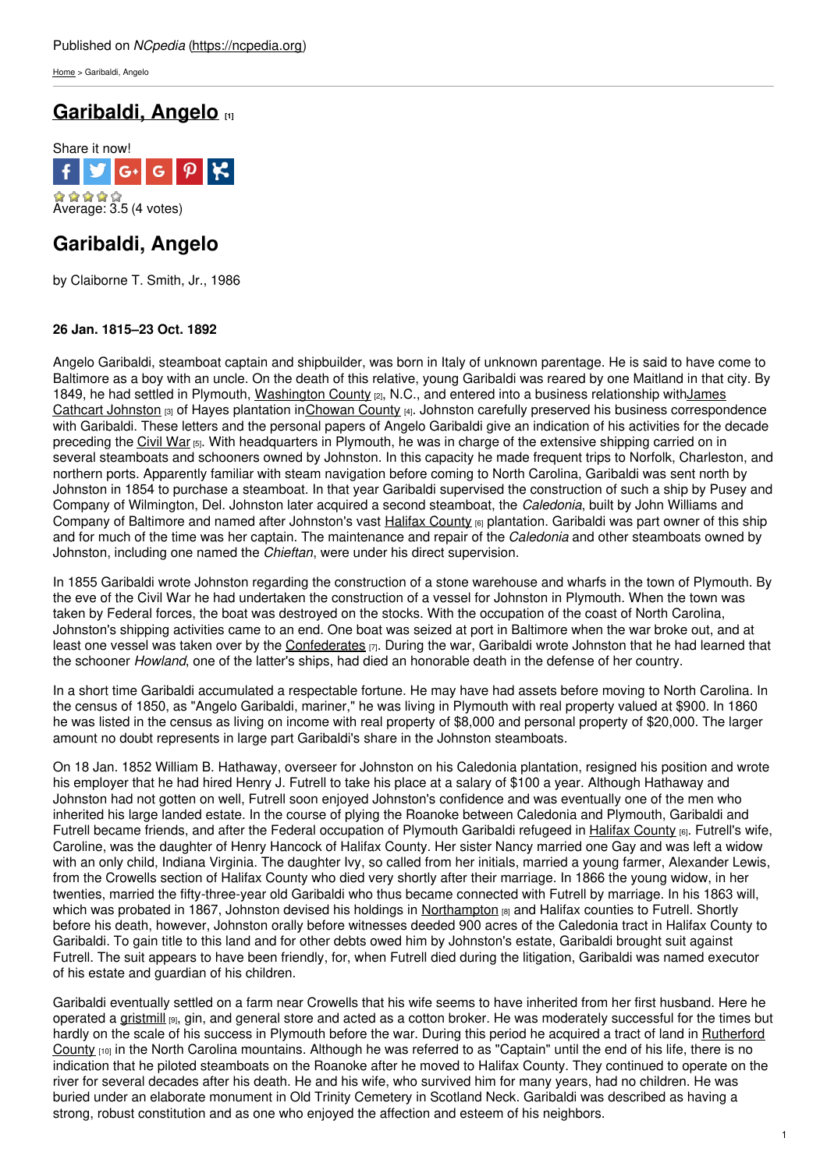[Home](https://ncpedia.org/) > Garibaldi, Angelo

# **[Garibaldi,](https://ncpedia.org/biography/garibaldi-angelo) Angelo [1]**



# **Garibaldi, Angelo**

by Claiborne T. Smith, Jr., 1986

### **26 Jan. 1815–23 Oct. 1892**

Angelo Garibaldi, steamboat captain and [shipbuilder,](http://www.social9.com) was born in Italy of unknown parentage. He is said to have come to Baltimore as a boy with an uncle. On the death of this relative, young Garibaldi was reared by one Maitland in that city. By 1849, he had settled in Plymouth, [Washington](https://ncpedia.org/geography/washington) County [2], N.C., and entered into a business relationship withJames Cathcart Johnston [3] of Hayes plantation in[Chowan](https://ncpedia.org/geography/chowan) County [4]. Johnston carefully preserved his business correspondence with Garibaldi. These letters and the personal papers of Angelo Garibaldi give an indication of his activities for the decade preceding the [Civil](https://ncpedia.org/history/cw-1900/civil-war) War [5]. With headquarters in Plymouth, he was in charge of the extensive shipping carried on in several steamboats and schooners owned by Johnston. In this capacity he made frequent trips to Norfolk, Charleston, and northern ports. Apparently familiar with steam navigation before coming to North Carolina, Garibaldi was sent north by Johnston in 1854 to purchase a steamboat. In that year Garibaldi supervised the construction of such a ship by Pusey and Company of Wilmington, Del. Johnston later acquired a second steamboat, the *Caledonia*, built by John Williams and Company of Baltimore and named after Johnston's vast Halifax [County](https://ncpedia.org/geography/halifax) [6] plantation. Garibaldi was part owner of this ship and for much of the time was her captain. The maintenance and repair of the *Caledonia* and other steamboats owned by Johnston, including one named the *Chieftan*, were under his direct supervision.

In 1855 Garibaldi wrote Johnston regarding the construction of a stone warehouse and wharfs in the town of Plymouth. By the eve of the Civil War he had undertaken the construction of a vessel for Johnston in Plymouth. When the town was taken by Federal forces, the boat was destroyed on the stocks. With the occupation of the coast of North Carolina, Johnston's shipping activities came to an end. One boat was seized at port in Baltimore when the war broke out, and at least one vessel was taken over by the [Confederates](https://ncpedia.org/confederate-party) [7]. During the war, Garibaldi wrote Johnston that he had learned that the schooner *Howland*, one of the latter's ships, had died an honorable death in the defense of her country.

In a short time Garibaldi accumulated a respectable fortune. He may have had assets before moving to North Carolina. In the census of 1850, as "Angelo Garibaldi, mariner," he was living in Plymouth with real property valued at \$900. In 1860 he was listed in the census as living on income with real property of \$8,000 and personal property of \$20,000. The larger amount no doubt represents in large part Garibaldi's share in the Johnston steamboats.

On 18 Jan. 1852 William B. Hathaway, overseer for Johnston on his Caledonia plantation, resigned his position and wrote his employer that he had hired Henry J. Futrell to take his place at a salary of \$100 a year. Although Hathaway and Johnston had not gotten on well, Futrell soon enjoyed Johnston's confidence and was eventually one of the men who inherited his large landed estate. In the course of plying the Roanoke between Caledonia and Plymouth, Garibaldi and Futrell became friends, and after the Federal occupation of Plymouth Garibaldi refugeed in Halifax [County](https://ncpedia.org/geography/halifax) [6]. Futrell's wife, Caroline, was the daughter of Henry Hancock of Halifax County. Her sister Nancy married one Gay and was left a widow with an only child, Indiana Virginia. The daughter Ivy, so called from her initials, married a young farmer, Alexander Lewis, from the Crowells section of Halifax County who died very shortly after their marriage. In 1866 the young widow, in her twenties, married the fifty-three-year old Garibaldi who thus became connected with Futrell by marriage. In his 1863 will, which was probated in 1867, Johnston devised his holdings in [Northampton](https://ncpedia.org/geography/northampton) [8] and Halifax counties to Futrell. Shortly before his death, however, Johnston orally before witnesses deeded 900 acres of the Caledonia tract in Halifax County to Garibaldi. To gain title to this land and for other debts owed him by Johnston's estate, Garibaldi brought suit against Futrell. The suit appears to have been friendly, for, when Futrell died during the litigation, Garibaldi was named executor of his estate and guardian of his children.

Garibaldi eventually settled on a farm near Crowells that his wife seems to have inherited from her first husband. Here he operated a [gristmill](https://ncpedia.org/gristmills) [9], gin, and general store and acted as a cotton broker. He was moderately successful for the times but hardly on the scale of his success in Plymouth before the war. During this period he acquired a tract of land in [Rutherford](https://ncpedia.org/geography/rutherford) County  $[10]$  in the North Carolina mountains. Although he was referred to as "Captain" until the end of his life, there is no indication that he piloted steamboats on the Roanoke after he moved to Halifax County. They continued to operate on the river for several decades after his death. He and his wife, who survived him for many years, had no children. He was buried under an elaborate monument in Old Trinity Cemetery in Scotland Neck. Garibaldi was described as having a strong, robust constitution and as one who enjoyed the affection and esteem of his neighbors.